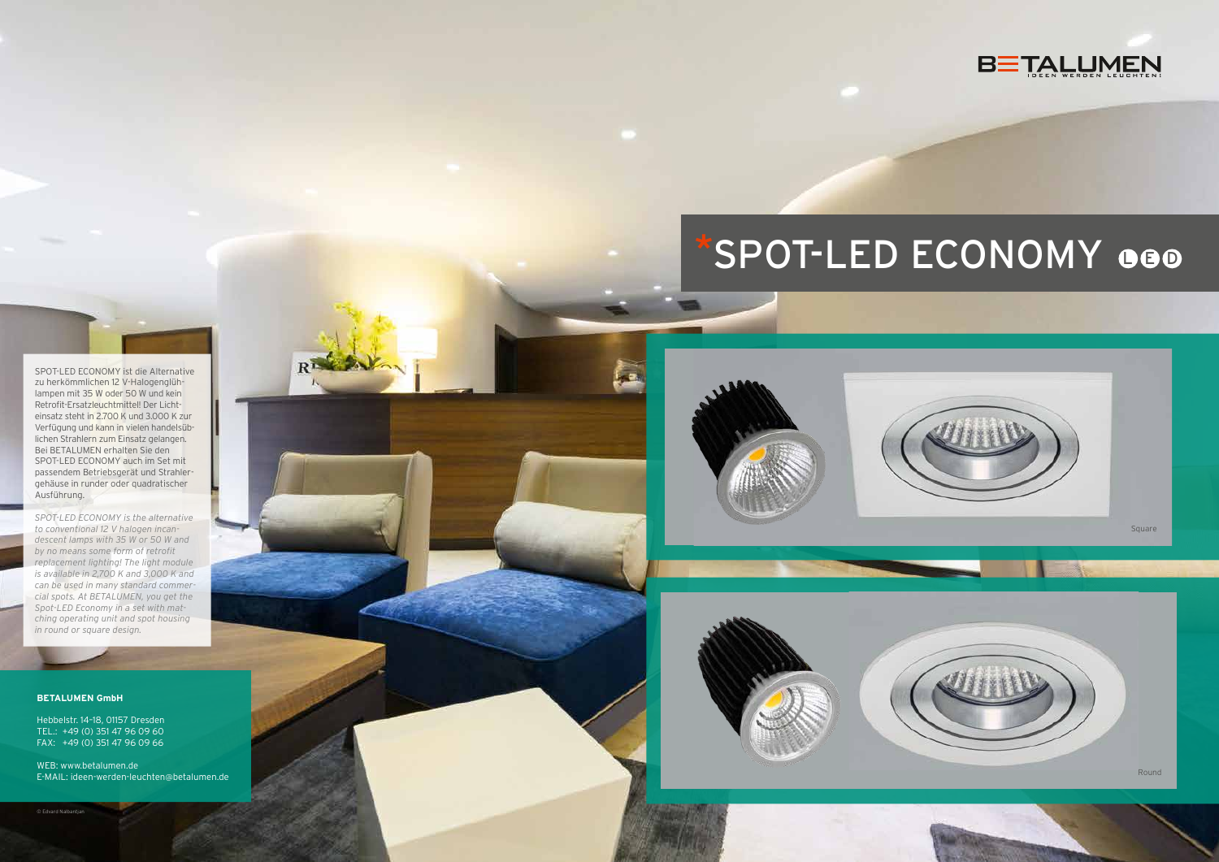SPOT-LED ECONOMY ist die Alternative zu herkömmlichen 12 V-Halogenglühlampen mit 35 W oder 50 W und kein Retrofit-Ersatzleuchtmittel! Der Lichteinsatz steht in 2.700 K und 3.000 K zur Verfügung und kann in vielen handelsüblichen Strahlern zum Einsatz gelangen. Bei BETALUMEN erhalten Sie den SPOT-LED ECONOMY auch im Set mit passendem Betriebsgerät und Strahlergehäuse in runder oder quadratischer Ausführung.

 $\overline{\mathbf{R}}$ 





*SPOT-LED ECONOMY is the alternative to conventional 12 V halogen incandescent lamps with 35 W or 50 W and by no means some form of retrofit replacement lighting! The light module is available in 2,700 K and 3,000 K and can be used in many standard commercial spots. At BETALUMEN, you get the Spot-LED Economy in a set with matching operating unit and spot housing in round or square design.*

#### **BETALUMEN GmbH**

Hebbelstr. 14–18, 01157 Dresden TEL.: +49 (0) 351 47 96 09 60 FAX: +49 (0) 351 47 96 09 66

WEB: www.betalumen.de E-MAIL: ideen-werden-leuchten@betalumen.de

# SPOT-LED ECONOMY 000